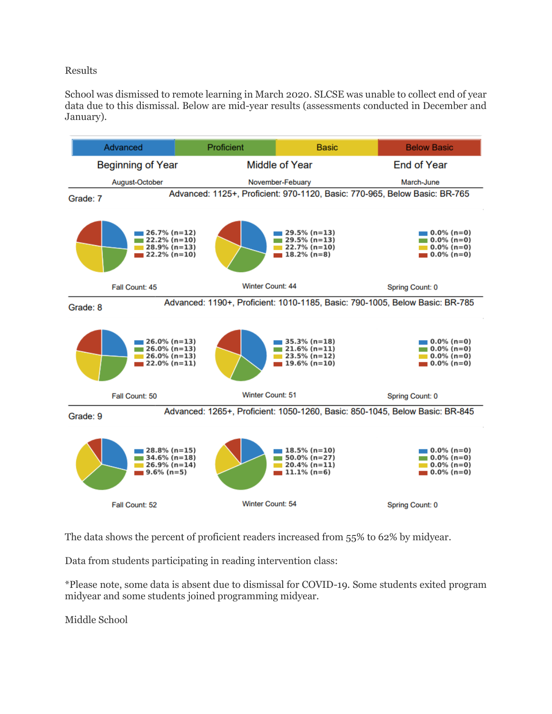## Results

School was dismissed to remote learning in March 2020. SLCSE was unable to collect end of year data due to this dismissal. Below are mid-year results (assessments conducted in December and January).



The data shows the percent of proficient readers increased from 55% to 62% by midyear.

Data from students participating in reading intervention class:

\*Please note, some data is absent due to dismissal for COVID-19. Some students exited program midyear and some students joined programming midyear.

Middle School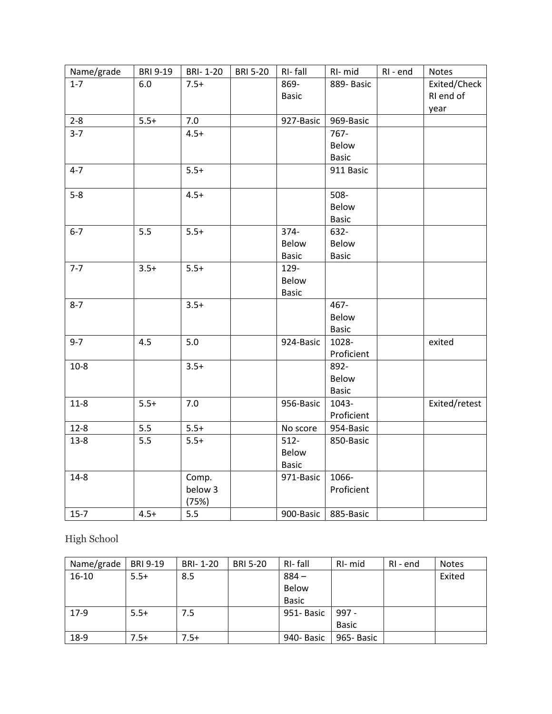| Name/grade | <b>BRI 9-19</b> | <b>BRI-1-20</b> | <b>BRI 5-20</b> | RI-fall      | RI-mid       | RI - end | Notes         |
|------------|-----------------|-----------------|-----------------|--------------|--------------|----------|---------------|
| $1 - 7$    | 6.0             | $7.5+$          |                 | 869-         | 889- Basic   |          | Exited/Check  |
|            |                 |                 |                 | <b>Basic</b> |              |          | RI end of     |
|            |                 |                 |                 |              |              |          | year          |
| $2 - 8$    | $5.5+$          | 7.0             |                 | 927-Basic    | 969-Basic    |          |               |
| $3 - 7$    |                 | $4.5+$          |                 |              | 767-         |          |               |
|            |                 |                 |                 |              | Below        |          |               |
|            |                 |                 |                 |              | <b>Basic</b> |          |               |
| $4 - 7$    |                 | $5.5+$          |                 |              | 911 Basic    |          |               |
| $5-8$      |                 | $4.5+$          |                 |              | $508 -$      |          |               |
|            |                 |                 |                 |              | Below        |          |               |
|            |                 |                 |                 |              | <b>Basic</b> |          |               |
| $6 - 7$    | 5.5             | $5.5+$          |                 | 374-         | 632-         |          |               |
|            |                 |                 |                 | Below        | Below        |          |               |
|            |                 |                 |                 | <b>Basic</b> | <b>Basic</b> |          |               |
| $7 - 7$    | $3.5+$          | $5.5+$          |                 | 129-         |              |          |               |
|            |                 |                 |                 | Below        |              |          |               |
|            |                 |                 |                 | <b>Basic</b> |              |          |               |
| $8 - 7$    |                 | $3.5+$          |                 |              | 467-         |          |               |
|            |                 |                 |                 |              | Below        |          |               |
|            |                 |                 |                 |              | <b>Basic</b> |          |               |
| $9 - 7$    | 4.5             | 5.0             |                 | 924-Basic    | 1028-        |          | exited        |
|            |                 |                 |                 |              | Proficient   |          |               |
| $10-8$     |                 | $3.5+$          |                 |              | 892-         |          |               |
|            |                 |                 |                 |              | Below        |          |               |
|            |                 |                 |                 |              | <b>Basic</b> |          |               |
| $11-8$     | $5.5+$          | 7.0             |                 | 956-Basic    | 1043-        |          | Exited/retest |
|            |                 |                 |                 |              | Proficient   |          |               |
| $12 - 8$   | 5.5             | $5.5+$          |                 | No score     | 954-Basic    |          |               |
| $13 - 8$   | 5.5             | $5.5+$          |                 | $512 -$      | 850-Basic    |          |               |
|            |                 |                 |                 | Below        |              |          |               |
|            |                 |                 |                 | <b>Basic</b> |              |          |               |
| $14 - 8$   |                 | Comp.           |                 | 971-Basic    | 1066-        |          |               |
|            |                 | below 3         |                 |              | Proficient   |          |               |
|            |                 | (75%)           |                 |              |              |          |               |
| $15-7$     | $4.5+$          | 5.5             |                 | 900-Basic    | 885-Basic    |          |               |

High School

| Name/grade | <b>BRI 9-19</b> | BRI-1-20 | <b>BRI 5-20</b> | RI-fall      | RI- mid      | RI - end | <b>Notes</b> |
|------------|-----------------|----------|-----------------|--------------|--------------|----------|--------------|
| $16 - 10$  | $5.5+$          | 8.5      |                 | $884 -$      |              |          | Exited       |
|            |                 |          |                 | <b>Below</b> |              |          |              |
|            |                 |          |                 | <b>Basic</b> |              |          |              |
| $17-9$     | $5.5+$          | 7.5      |                 | 951-Basic    | $997 -$      |          |              |
|            |                 |          |                 |              | <b>Basic</b> |          |              |
| 18-9       | $7.5+$          | $7.5+$   |                 | 940- Basic   | 965- Basic   |          |              |